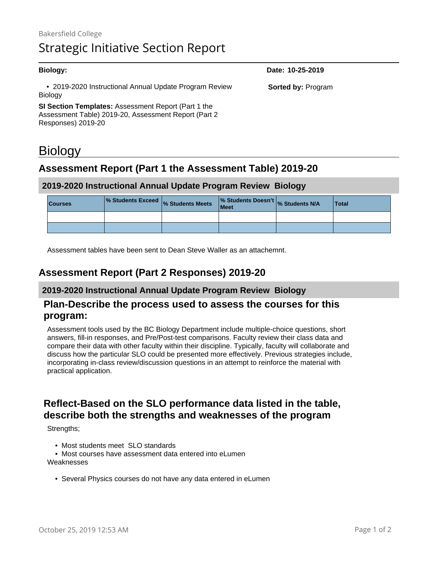### **Biology: Date: 10-25-2019** • 2019-2020 Instructional Annual Update Program Review Biology **SI Section Templates:** Assessment Report (Part 1 the Assessment Table) 2019-20, Assessment Report (Part 2 Responses) 2019-20 **Sorted by:** Program

# **Biology**

# **Assessment Report (Part 1 the Assessment Table) 2019-20**

### **2019-2020 Instructional Annual Update Program Review Biology**

| <b>Courses</b> | % Students Exceed % Students Meets | % Students Doesn't % Students N/A<br>Meet | <b>Total</b> |
|----------------|------------------------------------|-------------------------------------------|--------------|
|                |                                    |                                           |              |
|                |                                    |                                           |              |

Assessment tables have been sent to Dean Steve Waller as an attachemnt.

# **Assessment Report (Part 2 Responses) 2019-20**

### **2019-2020 Instructional Annual Update Program Review Biology**

### **Plan-Describe the process used to assess the courses for this program:**

Assessment tools used by the BC Biology Department include multiple-choice questions, short answers, fill-in responses, and Pre/Post-test comparisons. Faculty review their class data and compare their data with other faculty within their discipline. Typically, faculty will collaborate and discuss how the particular SLO could be presented more effectively. Previous strategies include, incorporating in-class review/discussion questions in an attempt to reinforce the material with practical application.

# **Reflect-Based on the SLO performance data listed in the table, describe both the strengths and weaknesses of the program**

Strengths;

- Most students meet SLO standards
- Most courses have assessment data entered into eLumen Weaknesses
	- Several Physics courses do not have any data entered in eLumen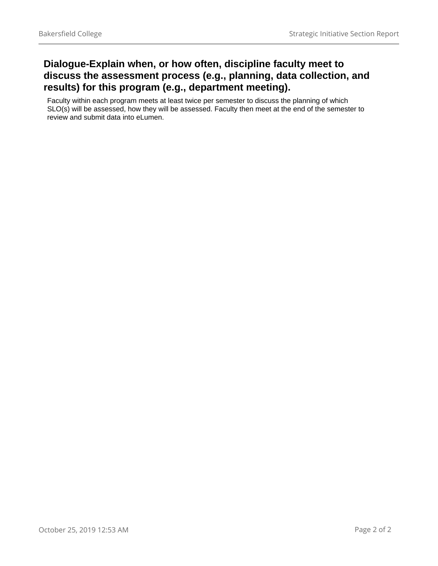## **Dialogue-Explain when, or how often, discipline faculty meet to discuss the assessment process (e.g., planning, data collection, and results) for this program (e.g., department meeting).**

Faculty within each program meets at least twice per semester to discuss the planning of which SLO(s) will be assessed, how they will be assessed. Faculty then meet at the end of the semester to review and submit data into eLumen.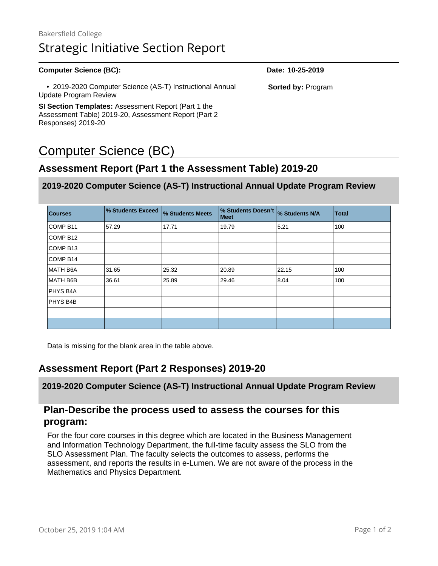# Bakersfield College Strategic Initiative Section Report

| <b>Computer Science (BC):</b>                                                                               | Date: 10-25-2019          |  |
|-------------------------------------------------------------------------------------------------------------|---------------------------|--|
| • 2019-2020 Computer Science (AS-T) Instructional Annual<br>Update Program Review                           | <b>Sorted by: Program</b> |  |
| SI Section Templates: Assessment Report (Part 1 the<br>Assessment Table) 2019-20, Assessment Report (Part 2 |                           |  |

# Computer Science (BC)

Responses) 2019-20

## **Assessment Report (Part 1 the Assessment Table) 2019-20**

### **2019-2020 Computer Science (AS-T) Instructional Annual Update Program Review**

| <b>Courses</b>      | % Students Exceed | % Students Meets | % Students Doesn't  % Students N/A<br><b>Meet</b> |       | <b>Total</b> |
|---------------------|-------------------|------------------|---------------------------------------------------|-------|--------------|
| COMP <sub>B11</sub> | 57.29             | 17.71            | 19.79                                             | 5.21  | 100          |
| COMP B12            |                   |                  |                                                   |       |              |
| COMP B13            |                   |                  |                                                   |       |              |
| COMP B14            |                   |                  |                                                   |       |              |
| MATH B6A            | 31.65             | 25.32            | 20.89                                             | 22.15 | 100          |
| MATH B6B            | 36.61             | 25.89            | 29.46                                             | 8.04  | 100          |
| PHYS B4A            |                   |                  |                                                   |       |              |
| PHYS B4B            |                   |                  |                                                   |       |              |
|                     |                   |                  |                                                   |       |              |
|                     |                   |                  |                                                   |       |              |

Data is missing for the blank area in the table above.

### **Assessment Report (Part 2 Responses) 2019-20**

**2019-2020 Computer Science (AS-T) Instructional Annual Update Program Review**

### **Plan-Describe the process used to assess the courses for this program:**

For the four core courses in this degree which are located in the Business Management and Information Technology Department, the full-time faculty assess the SLO from the SLO Assessment Plan. The faculty selects the outcomes to assess, performs the assessment, and reports the results in e-Lumen. We are not aware of the process in the Mathematics and Physics Department.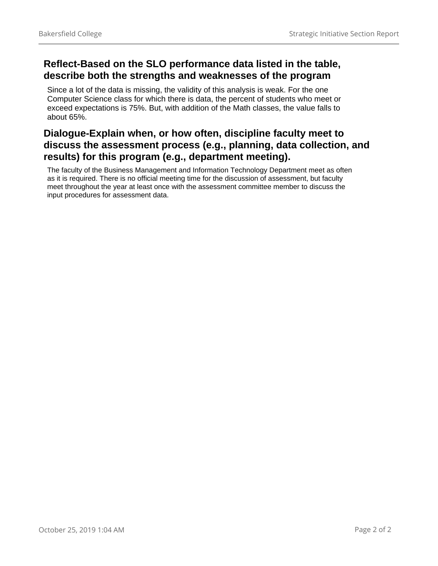### **Reflect-Based on the SLO performance data listed in the table, describe both the strengths and weaknesses of the program**

Since a lot of the data is missing, the validity of this analysis is weak. For the one Computer Science class for which there is data, the percent of students who meet or exceed expectations is 75%. But, with addition of the Math classes, the value falls to about 65%.

## **Dialogue-Explain when, or how often, discipline faculty meet to discuss the assessment process (e.g., planning, data collection, and results) for this program (e.g., department meeting).**

The faculty of the Business Management and Information Technology Department meet as often as it is required. There is no official meeting time for the discussion of assessment, but faculty meet throughout the year at least once with the assessment committee member to discuss the input procedures for assessment data.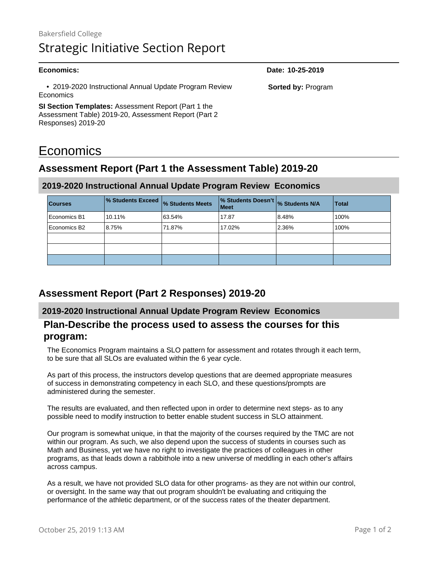# Bakersfield College Strategic Initiative Section Report

### **Economics: Date: 10-25-2019** • 2019-2020 Instructional Annual Update Program Review **Economics SI Section Templates:** Assessment Report (Part 1 the Assessment Table) 2019-20, Assessment Report (Part 2 Responses) 2019-20 **Sorted by:** Program

# **Economics**

# **Assessment Report (Part 1 the Assessment Table) 2019-20**

### **2019-2020 Instructional Annual Update Program Review Economics**

| <b>Courses</b> | % Students Exceed % Students Meets |        | % Students Doesn't % Students N/A<br><b>Meet</b> |       | <b>Total</b> |
|----------------|------------------------------------|--------|--------------------------------------------------|-------|--------------|
| Economics B1   | 10.11%                             | 63.54% | 17.87                                            | 8.48% | 100%         |
| Economics B2   | 8.75%                              | 71.87% | 17.02%                                           | 2.36% | 100%         |
|                |                                    |        |                                                  |       |              |
|                |                                    |        |                                                  |       |              |
|                |                                    |        |                                                  |       |              |

### **Assessment Report (Part 2 Responses) 2019-20**

### **2019-2020 Instructional Annual Update Program Review Economics**

### **Plan-Describe the process used to assess the courses for this program:**

The Economics Program maintains a SLO pattern for assessment and rotates through it each term, to be sure that all SLOs are evaluated within the 6 year cycle.

As part of this process, the instructors develop questions that are deemed appropriate measures of success in demonstrating competency in each SLO, and these questions/prompts are administered during the semester.

The results are evaluated, and then reflected upon in order to determine next steps- as to any possible need to modify instruction to better enable student success in SLO attainment.

Our program is somewhat unique, in that the majority of the courses required by the TMC are not within our program. As such, we also depend upon the success of students in courses such as Math and Business, yet we have no right to investigate the practices of colleagues in other programs, as that leads down a rabbithole into a new universe of meddling in each other's affairs across campus.

As a result, we have not provided SLO data for other programs- as they are not within our control, or oversight. In the same way that out program shouldn't be evaluating and critiquing the performance of the athletic department, or of the success rates of the theater department.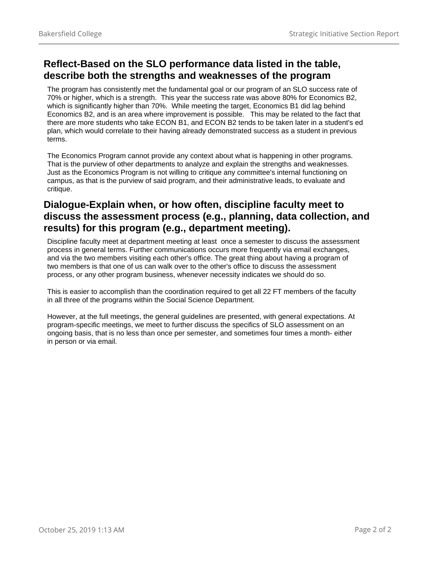## **Reflect-Based on the SLO performance data listed in the table, describe both the strengths and weaknesses of the program**

The program has consistently met the fundamental goal or our program of an SLO success rate of 70% or higher, which is a strength. This year the success rate was above 80% for Economics B2, which is significantly higher than 70%. While meeting the target, Economics B1 did lag behind Economics B2, and is an area where improvement is possible. This may be related to the fact that there are more students who take ECON B1, and ECON B2 tends to be taken later in a student's ed plan, which would correlate to their having already demonstrated success as a student in previous terms.

The Economics Program cannot provide any context about what is happening in other programs. That is the purview of other departments to analyze and explain the strengths and weaknesses. Just as the Economics Program is not willing to critique any committee's internal functioning on campus, as that is the purview of said program, and their administrative leads, to evaluate and critique.

### **Dialogue-Explain when, or how often, discipline faculty meet to discuss the assessment process (e.g., planning, data collection, and results) for this program (e.g., department meeting).**

Discipline faculty meet at department meeting at least once a semester to discuss the assessment process in general terms. Further communications occurs more frequently via email exchanges, and via the two members visiting each other's office. The great thing about having a program of two members is that one of us can walk over to the other's office to discuss the assessment process, or any other program business, whenever necessity indicates we should do so.

This is easier to accomplish than the coordination required to get all 22 FT members of the faculty in all three of the programs within the Social Science Department.

However, at the full meetings, the general guidelines are presented, with general expectations. At program-specific meetings, we meet to further discuss the specifics of SLO assessment on an ongoing basis, that is no less than once per semester, and sometimes four times a month- either in person or via email.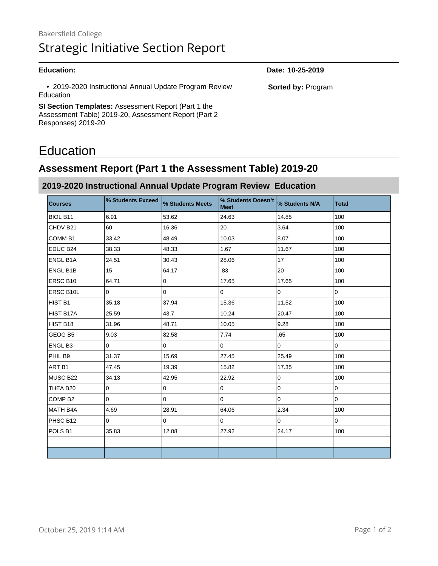• 2019-2020 Instructional Annual Update Program Review Education

**SI Section Templates:** Assessment Report (Part 1 the Assessment Table) 2019-20, Assessment Report (Part 2 Responses) 2019-20

# Education

# **Assessment Report (Part 1 the Assessment Table) 2019-20**

### **2019-2020 Instructional Annual Update Program Review Education**

| <b>Courses</b>     | % Students Exceed | % Students Meets | % Students Doesn't % Students N/A<br><b>Meet</b> |             | <b>Total</b> |
|--------------------|-------------------|------------------|--------------------------------------------------|-------------|--------------|
| BIOL B11           | 6.91              | 53.62            | 24.63                                            | 14.85       | 100          |
| CHDV B21           | 60                | 16.36            | 20                                               | 3.64        | 100          |
| COMM <sub>B1</sub> | 33.42             | 48.49            | 10.03                                            | 8.07        | 100          |
| EDUC B24           | 38.33             | 48.33            | 1.67                                             | 11.67       | 100          |
| ENGL B1A           | 24.51             | 30.43            | 28.06                                            | 17          | 100          |
| ENGL B1B           | 15                | 64.17            | .83                                              | 20          | 100          |
| ERSC B10           | 64.71             | 0                | 17.65                                            | 17.65       | 100          |
| ERSC B10L          | 0                 | $\mathsf{O}$     | 0                                                | $\mathbf 0$ | $\mathbf 0$  |
| HIST B1            | 35.18             | 37.94            | 15.36                                            | 11.52       | 100          |
| HIST B17A          | 25.59             | 43.7             | 10.24                                            | 20.47       | 100          |
| HIST B18           | 31.96             | 48.71            | 10.05                                            | 9.28        | 100          |
| GEOG B5            | 9.03              | 82.58            | 7.74                                             | .65         | 100          |
| ENGL B3            | 0                 | 0                | 0                                                | $\mathbf 0$ | 0            |
| PHIL B9            | 31.37             | 15.69            | 27.45                                            | 25.49       | 100          |
| ART <sub>B1</sub>  | 47.45             | 19.39            | 15.82                                            | 17.35       | 100          |
| MUSC B22           | 34.13             | 42.95            | 22.92                                            | $\pmb{0}$   | 100          |
| THEA B20           | 0                 | 0                | 0                                                | $\mathsf 0$ | 0            |
| COMP <sub>B2</sub> | 0                 | $\mathsf{O}$     | 0                                                | $\pmb{0}$   | 0            |
| <b>MATH B4A</b>    | 4.69              | 28.91            | 64.06                                            | 2.34        | 100          |
| PHSC B12           | $\mathbf 0$       | $\mathbf 0$      | $\mathbf 0$                                      | $\mathbf 0$ | $\mathbf 0$  |
| POLS B1            | 35.83             | 12.08            | 27.92                                            | 24.17       | 100          |
|                    |                   |                  |                                                  |             |              |
|                    |                   |                  |                                                  |             |              |

**Education: Date: 10-25-2019**

**Sorted by:** Program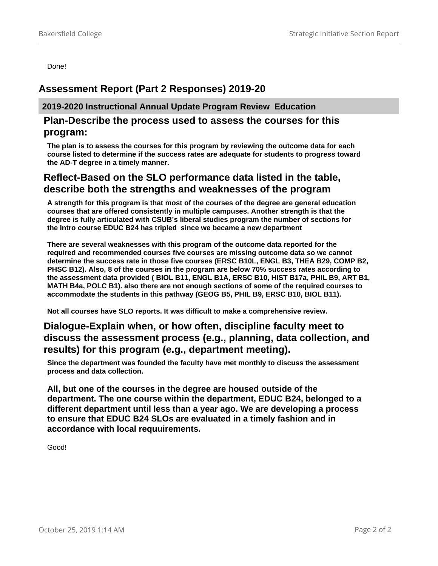Done!

### **Assessment Report (Part 2 Responses) 2019-20**

**2019-2020 Instructional Annual Update Program Review Education**

### **Plan-Describe the process used to assess the courses for this program:**

**The plan is to assess the courses for this program by reviewing the outcome data for each course listed to determine if the success rates are adequate for students to progress toward the AD-T degree in a timely manner.**

### **Reflect-Based on the SLO performance data listed in the table, describe both the strengths and weaknesses of the program**

**A strength for this program is that most of the courses of the degree are general education courses that are offered consistently in multiple campuses. Another strength is that the degree is fully articulated with CSUB's liberal studies program the number of sections for the Intro course EDUC B24 has tripled since we became a new department** 

**There are several weaknesses with this program of the outcome data reported for the required and recommended courses five courses are missing outcome data so we cannot determine the success rate in those five courses (ERSC B10L, ENGL B3, THEA B29, COMP B2, PHSC B12). Also, 8 of the courses in the program are below 70% success rates according to the assessment data provided ( BIOL B11, ENGL B1A, ERSC B10, HIST B17a, PHIL B9, ART B1, MATH B4a, POLC B1). also there are not enough sections of some of the required courses to accommodate the students in this pathway (GEOG B5, PHIL B9, ERSC B10, BIOL B11).**

**Not all courses have SLO reports. It was difficult to make a comprehensive review.** 

### **Dialogue-Explain when, or how often, discipline faculty meet to discuss the assessment process (e.g., planning, data collection, and results) for this program (e.g., department meeting).**

**Since the department was founded the faculty have met monthly to discuss the assessment process and data collection.**

**All, but one of the courses in the degree are housed outside of the department. The one course within the department, EDUC B24, belonged to a different department until less than a year ago. We are developing a process to ensure that EDUC B24 SLOs are evaluated in a timely fashion and in accordance with local requuirements.** 

Good!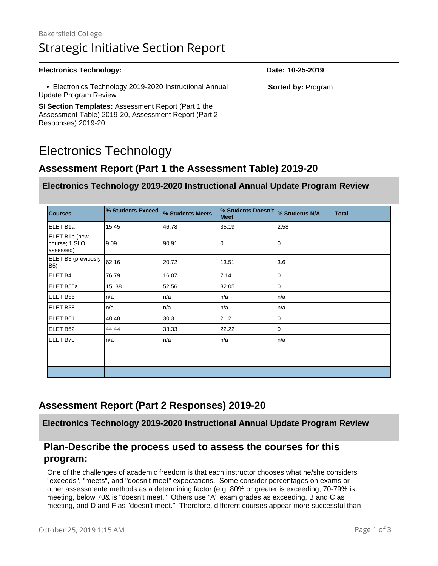# Bakersfield College Strategic Initiative Section Report

### **Electronics Technology: Date: 10-25-2019**

 • Electronics Technology 2019-2020 Instructional Annual Update Program Review

**SI Section Templates:** Assessment Report (Part 1 the Assessment Table) 2019-20, Assessment Report (Part 2 Responses) 2019-20

# Electronics Technology

### **Assessment Report (Part 1 the Assessment Table) 2019-20**

### **Electronics Technology 2019-2020 Instructional Annual Update Program Review**

| <b>Courses</b>                              | % Students Exceed | % Students Meets | % Students Doesn't<br><b>Meet</b> | % Students N/A | <b>Total</b> |
|---------------------------------------------|-------------------|------------------|-----------------------------------|----------------|--------------|
| ELET B1a                                    | 15.45             | 46.78            | 35.19                             | 2.58           |              |
| ELET B1b (new<br>course; 1 SLO<br>assessed) | 9.09              | 90.91            | 0                                 | 0              |              |
| ELET B3 (previously<br>B <sub>5</sub> )     | 62.16             | 20.72            | 13.51                             | 3.6            |              |
| ELET <sub>B4</sub>                          | 76.79             | 16.07            | 7.14                              | $\overline{0}$ |              |
| ELET B55a                                   | 15.38             | 52.56            | 32.05                             | $\mathbf 0$    |              |
| ELET B56                                    | n/a               | n/a              | n/a                               | n/a            |              |
| ELET B58                                    | n/a               | n/a              | n/a                               | n/a            |              |
| ELET B61                                    | 48.48             | 30.3             | 21.21                             | $\overline{0}$ |              |
| ELET B62                                    | 44.44             | 33.33            | 22.22                             | $\overline{0}$ |              |
| ELET B70                                    | n/a               | n/a              | n/a                               | n/a            |              |
|                                             |                   |                  |                                   |                |              |
|                                             |                   |                  |                                   |                |              |
|                                             |                   |                  |                                   |                |              |

### **Assessment Report (Part 2 Responses) 2019-20**

**Electronics Technology 2019-2020 Instructional Annual Update Program Review**

### **Plan-Describe the process used to assess the courses for this program:**

One of the challenges of academic freedom is that each instructor chooses what he/she considers "exceeds", "meets", and "doesn't meet" expectations. Some consider percentages on exams or other assessmente methods as a determining factor (e.g. 80% or greater is exceeding, 70-79% is meeting, below 70& is "doesn't meet." Others use "A" exam grades as exceeding, B and C as meeting, and D and F as "doesn't meet." Therefore, different courses appear more successful than

**Sorted by:** Program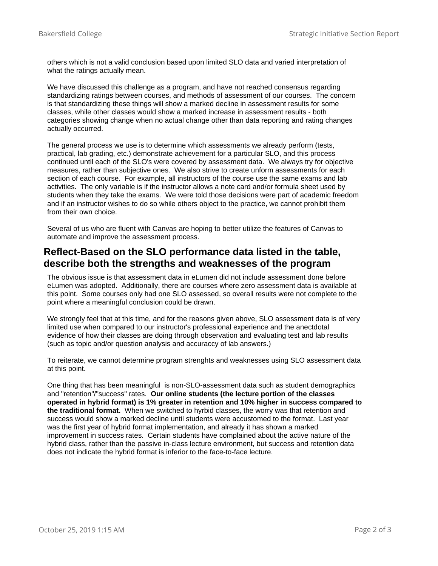others which is not a valid conclusion based upon limited SLO data and varied interpretation of what the ratings actually mean.

We have discussed this challenge as a program, and have not reached consensus regarding standardizing ratings between courses, and methods of assessment of our courses. The concern is that standardizing these things will show a marked decline in assessment results for some classes, while other classes would show a marked increase in assessment results - both categories showing change when no actual change other than data reporting and rating changes actually occurred.

The general process we use is to determine which assessments we already perform (tests, practical, lab grading, etc.) demonstrate achievement for a particular SLO, and this process continued until each of the SLO's were covered by assessment data. We always try for objective measures, rather than subjective ones. We also strive to create unform assessments for each section of each course. For example, all instructors of the course use the same exams and lab activities. The only variable is if the instructor allows a note card and/or formula sheet used by students when they take the exams. We were told those decisions were part of academic freedom and if an instructor wishes to do so while others object to the practice, we cannot prohibit them from their own choice.

Several of us who are fluent with Canvas are hoping to better utilize the features of Canvas to automate and improve the assessment process.

### **Reflect-Based on the SLO performance data listed in the table, describe both the strengths and weaknesses of the program**

The obvious issue is that assessment data in eLumen did not include assessment done before eLumen was adopted. Additionally, there are courses where zero assessment data is available at this point. Some courses only had one SLO assessed, so overall results were not complete to the point where a meaningful conclusion could be drawn.

We strongly feel that at this time, and for the reasons given above, SLO assessment data is of very limited use when compared to our instructor's professional experience and the anectdotal evidence of how their classes are doing through observation and evaluating test and lab results (such as topic and/or question analysis and accuraccy of lab answers.)

To reiterate, we cannot determine program strenghts and weaknesses using SLO assessment data at this point.

One thing that has been meaningful is non-SLO-assessment data such as student demographics and "retention"/"success" rates. **Our online students (the lecture portion of the classes operated in hybrid format) is 1% greater in retention and 10% higher in success compared to the traditional format.** When we switched to hyrbid classes, the worry was that retention and success would show a marked decline until students were accustomed to the format. Last year was the first year of hybrid format implementation, and already it has shown a marked improvement in success rates. Certain students have complained about the active nature of the hybrid class, rather than the passive in-class lecture environment, but success and retention data does not indicate the hybrid format is inferior to the face-to-face lecture.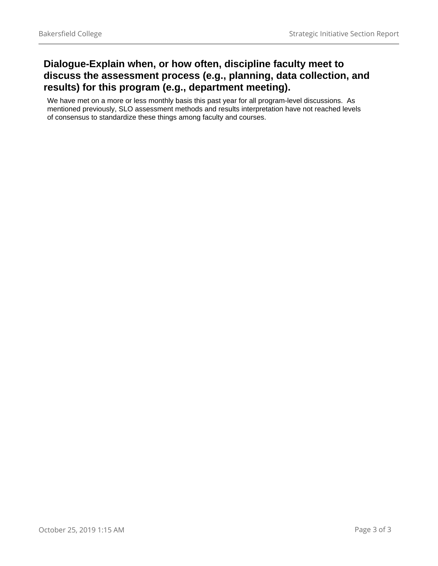## **Dialogue-Explain when, or how often, discipline faculty meet to discuss the assessment process (e.g., planning, data collection, and results) for this program (e.g., department meeting).**

We have met on a more or less monthly basis this past year for all program-level discussions. As mentioned previously, SLO assessment methods and results interpretation have not reached levels of consensus to standardize these things among faculty and courses.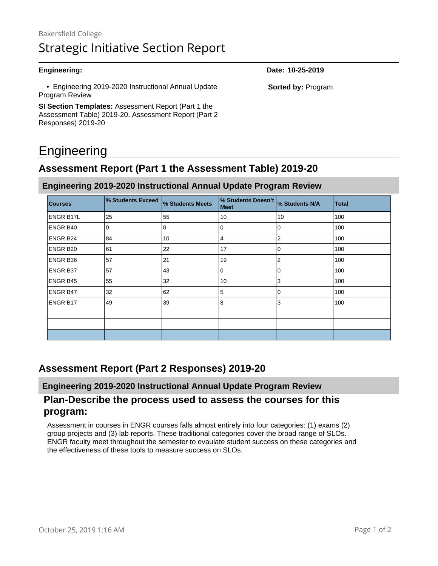• Engineering 2019-2020 Instructional Annual Update Program Review

**SI Section Templates:** Assessment Report (Part 1 the Assessment Table) 2019-20, Assessment Report (Part 2 Responses) 2019-20

# **Engineering**

## **Assessment Report (Part 1 the Assessment Table) 2019-20**

**Engineering 2019-2020 Instructional Annual Update Program Review**

| <b>Courses</b> | % Students Exceed | % Students Meets | % Students Doesn't<br>Meet | % Students N/A | <b>Total</b> |
|----------------|-------------------|------------------|----------------------------|----------------|--------------|
| ENGR B17L      | 25                | 55               | 10                         | 10             | 100          |
| ENGR B40       | 0                 | 0                | 0                          | 0              | 100          |
| ENGR B24       | 84                | 10               | 4                          | 2              | 100          |
| ENGR B20       | 61                | 22               | 17                         | 0              | 100          |
| ENGR B36       | 57                | 21               | 19                         | $\overline{2}$ | 100          |
| ENGR B37       | 57                | 43               | 0                          | $\mathbf 0$    | 100          |
| ENGR B45       | 55                | 32               | 10                         | 3              | 100          |
| ENGR B47       | 32                | 62               | 5                          | $\mathbf 0$    | 100          |
| ENGR B17       | 49                | 39               | 8                          | 3              | 100          |
|                |                   |                  |                            |                |              |
|                |                   |                  |                            |                |              |
|                |                   |                  |                            |                |              |

### **Assessment Report (Part 2 Responses) 2019-20**

**Engineering 2019-2020 Instructional Annual Update Program Review**

### **Plan-Describe the process used to assess the courses for this program:**

Assessment in courses in ENGR courses falls almost entirely into four categories: (1) exams (2) group projects and (3) lab reports. These traditional categories cover the broad range of SLOs. ENGR faculty meet throughout the semester to evaulate student success on these categories and the effectiveness of these tools to measure success on SLOs.

**Engineering: Date: 10-25-2019**

**Sorted by:** Program